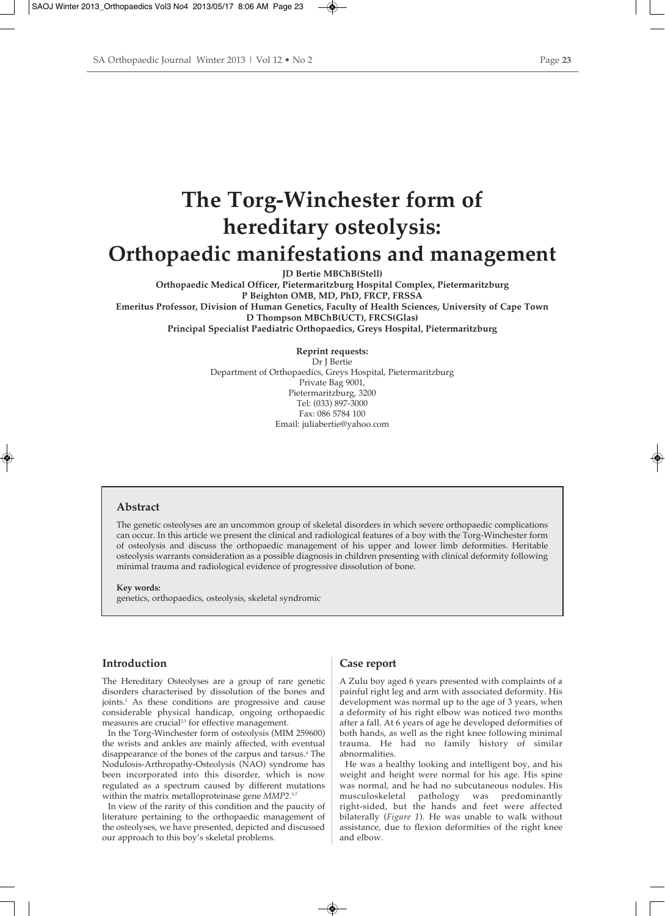# **The Torg-Winchester form of hereditary osteolysis: Orthopaedic manifestations and management**

**JD Bertie MBChB(Stell)**

**Orthopaedic Medical Officer, Pietermaritzburg Hospital Complex, Pietermaritzburg P Beighton OMB, MD, PhD, FRCP, FRSSA Emeritus Professor, Division of Human Genetics, Faculty of Health Sciences, University of Cape Town D Thompson MBChB(UCT), FRCS(Glas) Principal Specialist Paediatric Orthopaedics, Greys Hospital, Pietermaritzburg**

> **Reprint requests:** Dr J Bertie Department of Orthopaedics, Greys Hospital, Pietermaritzburg Private Bag 9001, Pietermaritzburg, 3200 Tel: (033) 897-3000 Fax: 086 5784 100 Email: juliabertie@yahoo.com

## **Abstract**

The genetic osteolyses are an uncommon group of skeletal disorders in which severe orthopaedic complications can occur. In this article we present the clinical and radiological features of a boy with the Torg-Winchester form of osteolysis and discuss the orthopaedic management of his upper and lower limb deformities. Heritable osteolysis warrants consideration as a possible diagnosis in children presenting with clinical deformity following minimal trauma and radiological evidence of progressive dissolution of bone.

**Key words:** 

genetics, orthopaedics, osteolysis, skeletal syndromic

## **Introduction**

The Hereditary Osteolyses are a group of rare genetic disorders characterised by dissolution of the bones and joints.1 As these conditions are progressive and cause considerable physical handicap, ongoing orthopaedic measures are crucial<sup>2,3</sup> for effective management.

In the Torg-Winchester form of osteolysis (MIM 259600) the wrists and ankles are mainly affected, with eventual disappearance of the bones of the carpus and tarsus.4 The Nodulosis-Arthropathy-Osteolysis (NAO) syndrome has been incorporated into this disorder, which is now regulated as a spectrum caused by different mutations within the matrix metalloproteinase gene *MMP2*. 5-7

In view of the rarity of this condition and the paucity of literature pertaining to the orthopaedic management of the osteolyses, we have presented, depicted and discussed our approach to this boy's skeletal problems.

## **Case report**

A Zulu boy aged 6 years presented with complaints of a painful right leg and arm with associated deformity. His development was normal up to the age of 3 years, when a deformity of his right elbow was noticed two months after a fall. At 6 years of age he developed deformities of both hands, as well as the right knee following minimal trauma. He had no family history of similar abnormalities.

He was a healthy looking and intelligent boy, and his weight and height were normal for his age. His spine was normal, and he had no subcutaneous nodules. His musculoskeletal pathology was predominantly right-sided, but the hands and feet were affected bilaterally (*Figure 1*). He was unable to walk without assistance, due to flexion deformities of the right knee and elbow.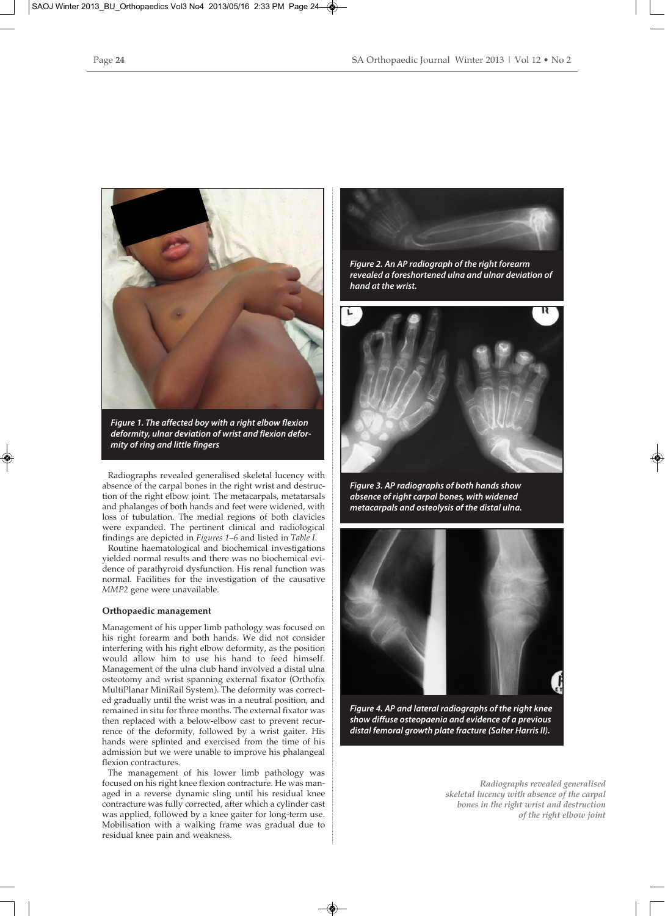

*Figure 1. The affected boy with a right elbow flexion deformity, ulnar deviation of wrist and flexion deformity of ring and little fingers*

Radiographs revealed generalised skeletal lucency with absence of the carpal bones in the right wrist and destruction of the right elbow joint. The metacarpals, metatarsals and phalanges of both hands and feet were widened, with loss of tubulation. The medial regions of both clavicles were expanded. The pertinent clinical and radiological findings are depicted in *Figures 1–6* and listed in *Table I*.

Routine haematological and biochemical investigations yielded normal results and there was no biochemical evidence of parathyroid dysfunction. His renal function was normal. Facilities for the investigation of the causative *MMP2* gene were unavailable.

## **Orthopaedic management**

Management of his upper limb pathology was focused on his right forearm and both hands. We did not consider interfering with his right elbow deformity, as the position would allow him to use his hand to feed himself. Management of the ulna club hand involved a distal ulna osteotomy and wrist spanning external fixator (Orthofix MultiPlanar MiniRail System). The deformity was corrected gradually until the wrist was in a neutral position, and remained in situ for three months. The external fixator was then replaced with a below-elbow cast to prevent recurrence of the deformity, followed by a wrist gaiter. His hands were splinted and exercised from the time of his admission but we were unable to improve his phalangeal flexion contractures.

The management of his lower limb pathology was focused on his right knee flexion contracture. He was managed in a reverse dynamic sling until his residual knee contracture was fully corrected, after which a cylinder cast was applied, followed by a knee gaiter for long-term use. Mobilisation with a walking frame was gradual due to residual knee pain and weakness.



*Figure 2. An AP radiograph of the right forearm revealed a foreshortened ulna and ulnar deviation of hand at the wrist.*



*Figure 3. AP radiographs of both hands show absence of right carpal bones, with widened metacarpals and osteolysis of the distal ulna.*



*Figure 4. AP and lateral radiographs of the right knee show diffuse osteopaenia and evidence of a previous distal femoral growth plate fracture (Salter Harris II).*

*Radiographs revealed generalised skeletal lucency with absence of the carpal bones in the right wrist and destruction of the right elbow joint*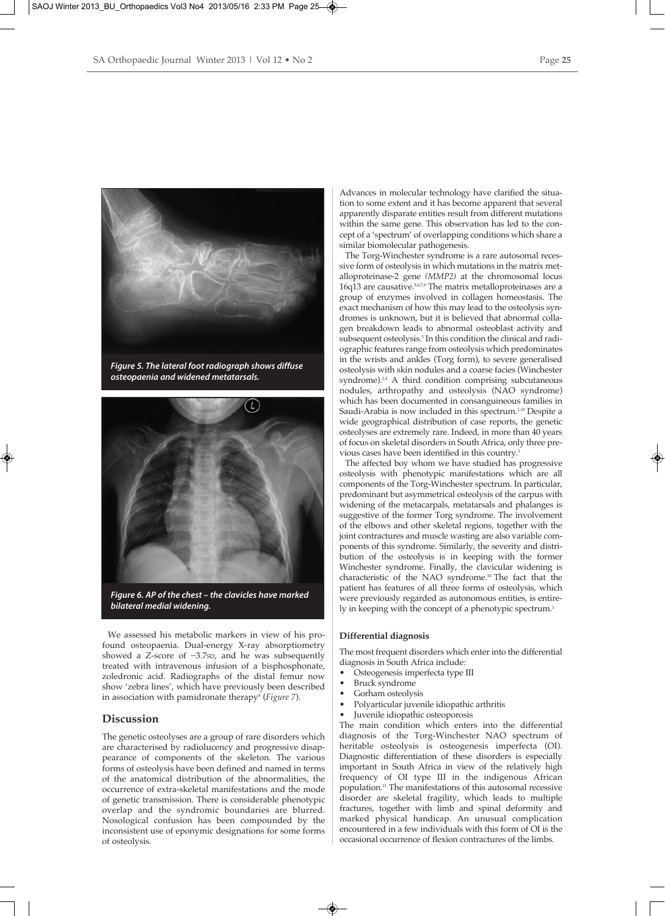

*Figure 5. The lateral foot radiograph shows diffuse osteopaenia and widened metatarsals.*



We assessed his metabolic markers in view of his profound osteopaenia. Dual-energy X-ray absorptiometry showed a Z-score of −3.7SD, and he was subsequently treated with intravenous infusion of a bisphosphonate, zoledronic acid. Radiographs of the distal femur now show 'zebra lines', which have previously been described in association with pamidronate therapy<sup>8</sup> (*Figure 7*).

## **Discussion**

The genetic osteolyses are a group of rare disorders which are characterised by radiolucency and progressive disappearance of components of the skeleton. The various forms of osteolysis have been defined and named in terms of the anatomical distribution of the abnormalities, the occurrence of extra-skeletal manifestations and the mode of genetic transmission. There is considerable phenotypic overlap and the syndromic boundaries are blurred. Nosological confusion has been compounded by the inconsistent use of eponymic designations for some forms of osteolysis.

Advances in molecular technology have clarified the situation to some extent and it has become apparent that several apparently disparate entities result from different mutations within the same gene. This observation has led to the concept of a 'spectrum' of overlapping conditions which share a similar biomolecular pathogenesis.

The Torg-Winchester syndrome is a rare autosomal recessive form of osteolysis in which mutations in the matrix metalloproteinase-2 gene *(MMP2)* at the chromosomal locus 16q13 are causative.5,6,7,9 The matrix metalloproteinases are a group of enzymes involved in collagen homeostasis. The exact mechanism of how this may lead to the osteolysis syndromes is unknown, but it is believed that abnormal collagen breakdown leads to abnormal osteoblast activity and subsequent osteolysis.<sup>5</sup> In this condition the clinical and radiographic features range from osteolysis which predominates in the wrists and ankles (Torg form), to severe generalised osteolysis with skin nodules and a coarse facies (Winchester syndrome).<sup>2,4</sup> A third condition comprising subcutaneous nodules, arthropathy and osteolysis (NAO syndrome) which has been documented in consanguineous families in Saudi-Arabia is now included in this spectrum.<sup>1,10</sup> Despite a wide geographical distribution of case reports, the genetic osteolyses are extremely rare. Indeed, in more than 40 years of focus on skeletal disorders in South Africa, only three previous cases have been identified in this country.<sup>3</sup>

The affected boy whom we have studied has progressive osteolysis with phenotypic manifestations which are all components of the Torg-Winchester spectrum. In particular, predominant but asymmetrical osteolysis of the carpus with widening of the metacarpals, metatarsals and phalanges is suggestive of the former Torg syndrome. The involvement of the elbows and other skeletal regions, together with the joint contractures and muscle wasting are also variable components of this syndrome. Similarly, the severity and distribution of the osteolysis is in keeping with the former Winchester syndrome. Finally, the clavicular widening is characteristic of the NAO syndrome.10 The fact that the patient has features of all three forms of osteolysis, which were previously regarded as autonomous entities, is entirely in keeping with the concept of a phenotypic spectrum.<sup>1</sup>

### **Differential diagnosis**

The most frequent disorders which enter into the differential diagnosis in South Africa include:<br>• Osteogenesis imperfecta type I

- Osteogenesis imperfecta type III
- Bruck syndrome
- Gorham osteolysis
- Polyarticular juvenile idiopathic arthritis
- Juvenile idiopathic osteoporosis

The main condition which enters into the differential diagnosis of the Torg-Winchester NAO spectrum of heritable osteolysis is osteogenesis imperfecta (OI). Diagnostic differentiation of these disorders is especially important in South Africa in view of the relatively high frequency of OI type III in the indigenous African population.11 The manifestations of this autosomal recessive disorder are skeletal fragility, which leads to multiple fractures, together with limb and spinal deformity and marked physical handicap. An unusual complication encountered in a few individuals with this form of OI is the occasional occurrence of flexion contractures of the limbs.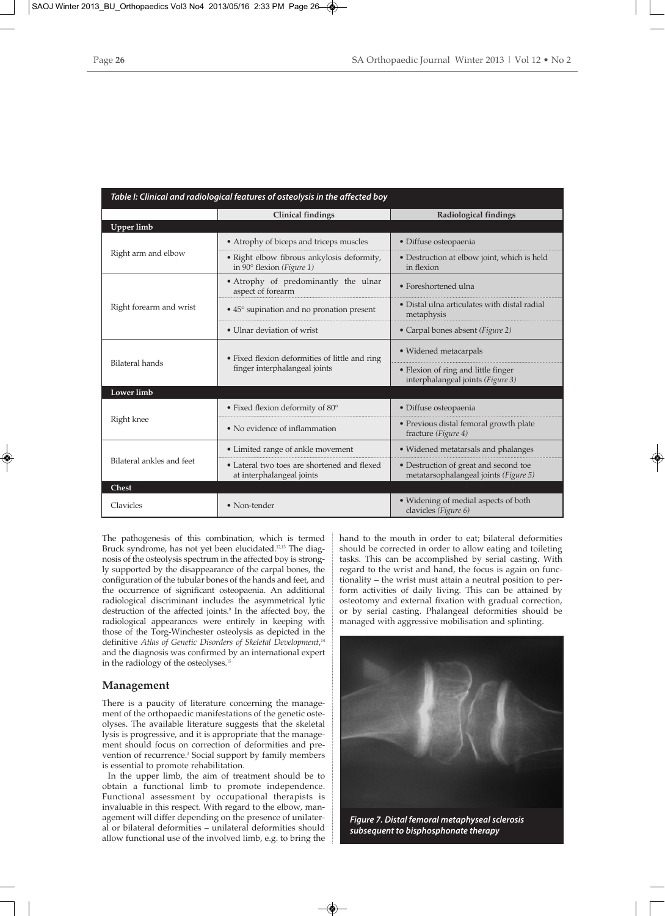| Table I: Clinical and radiological features of osteolysis in the affected boy |                                                                                  |                                                                                |
|-------------------------------------------------------------------------------|----------------------------------------------------------------------------------|--------------------------------------------------------------------------------|
|                                                                               | <b>Clinical findings</b>                                                         | Radiological findings                                                          |
| Upper limb                                                                    |                                                                                  |                                                                                |
| Right arm and elbow                                                           | • Atrophy of biceps and triceps muscles                                          | • Diffuse osteopaenia                                                          |
|                                                                               | · Right elbow fibrous ankylosis deformity,<br>in 90 $\degree$ flexion (Figure 1) | • Destruction at elbow joint, which is held<br>in flexion                      |
| Right forearm and wrist                                                       | • Atrophy of predominantly the ulnar<br>aspect of forearm                        | • Foreshortened ulna                                                           |
|                                                                               | • 45° supination and no pronation present                                        | • Distal ulna articulates with distal radial<br>metaphysis                     |
|                                                                               | • Ulnar deviation of wrist                                                       | • Carpal bones absent (Figure 2)                                               |
| <b>Bilateral hands</b>                                                        | • Fixed flexion deformities of little and ring<br>finger interphalangeal joints  | • Widened metacarpals                                                          |
|                                                                               |                                                                                  | • Flexion of ring and little finger<br>interphalangeal joints (Figure 3)       |
| Lower limb                                                                    |                                                                                  |                                                                                |
| Right knee                                                                    | • Fixed flexion deformity of 80°                                                 | • Diffuse osteopaenia                                                          |
|                                                                               | • No evidence of inflammation                                                    | • Previous distal femoral growth plate<br>fracture (Figure 4)                  |
| Bilateral ankles and feet                                                     | • Limited range of ankle movement                                                | • Widened metatarsals and phalanges                                            |
|                                                                               | • Lateral two toes are shortened and flexed<br>at interphalangeal joints         | • Destruction of great and second toe<br>metatarsophalangeal joints (Figure 5) |
| <b>Chest</b>                                                                  |                                                                                  |                                                                                |
| Clavicles                                                                     | • Non-tender                                                                     | • Widening of medial aspects of both<br>clavicles (Figure 6)                   |

The pathogenesis of this combination, which is termed Bruck syndrome, has not yet been elucidated.<sup>12,13</sup> The diagnosis of the osteolysis spectrum in the affected boy is strongly supported by the disappearance of the carpal bones, the configuration of the tubular bones of the hands and feet, and the occurrence of significant osteopaenia. An additional radiological discriminant includes the asymmetrical lytic destruction of the affected joints.<sup>9</sup> In the affected boy, the radiological appearances were entirely in keeping with those of the Torg-Winchester osteolysis as depicted in the definitive *Atlas of Genetic Disorders of Skeletal Development*, 14 and the diagnosis was confirmed by an international expert in the radiology of the osteolyses.<sup>15</sup>

## **Management**

There is a paucity of literature concerning the management of the orthopaedic manifestations of the genetic osteolyses. The available literature suggests that the skeletal lysis is progressive, and it is appropriate that the management should focus on correction of deformities and prevention of recurrence.<sup>3</sup> Social support by family members is essential to promote rehabilitation.

In the upper limb, the aim of treatment should be to obtain a functional limb to promote independence. Functional assessment by occupational therapists is invaluable in this respect. With regard to the elbow, management will differ depending on the presence of unilateral or bilateral deformities – unilateral deformities should allow functional use of the involved limb, e.g. to bring the hand to the mouth in order to eat; bilateral deformities should be corrected in order to allow eating and toileting tasks. This can be accomplished by serial casting. With regard to the wrist and hand, the focus is again on functionality – the wrist must attain a neutral position to perform activities of daily living. This can be attained by osteotomy and external fixation with gradual correction, or by serial casting. Phalangeal deformities should be managed with aggressive mobilisation and splinting.



*subsequent to bisphosphonate therapy*